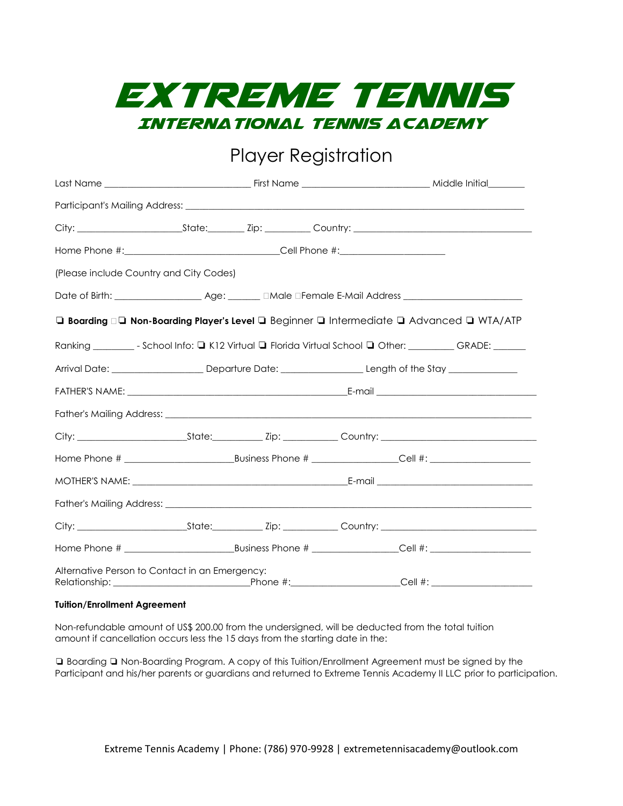

## Player Registration

| Home Phone #:__________________________________Cell Phone #:____________________ |  |                                                                                                            |
|----------------------------------------------------------------------------------|--|------------------------------------------------------------------------------------------------------------|
| (Please include Country and City Codes)                                          |  |                                                                                                            |
|                                                                                  |  |                                                                                                            |
|                                                                                  |  | □ Boarding • □ Non-Boarding Player's Level □ Beginner □ Intermediate □ Advanced □ WTA/ATP                  |
|                                                                                  |  | Ranking ___________ - School Info: Q K12 Virtual Q Florida Virtual School Q Other: _________ GRADE: ______ |
|                                                                                  |  |                                                                                                            |
|                                                                                  |  |                                                                                                            |
|                                                                                  |  |                                                                                                            |
|                                                                                  |  |                                                                                                            |
|                                                                                  |  |                                                                                                            |
|                                                                                  |  |                                                                                                            |
|                                                                                  |  |                                                                                                            |
|                                                                                  |  |                                                                                                            |
|                                                                                  |  |                                                                                                            |
| Alternative Person to Contact in an Emergency:                                   |  |                                                                                                            |

## **Tuition/Enrollment Agreement**

Non-refundable amount of US\$ 200.00 from the undersigned, will be deducted from the total tuition amount if cancellation occurs less the 15 days from the starting date in the:

❏ Boarding ❏ Non-Boarding Program. A copy of this Tuition/Enrollment Agreement must be signed by the Participant and his/her parents or guardians and returned to Extreme Tennis Academy II LLC prior to participation.